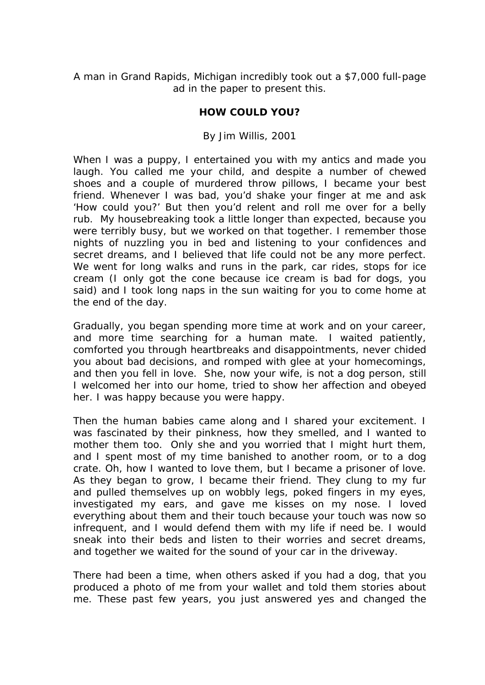*A man in Grand Rapids, Michigan incredibly took out a \$7,000 full-page ad in the paper to present this.* 

## **HOW COULD YOU?**

## *By Jim Willis, 2001*

When I was a puppy, I entertained you with my antics and made you laugh. You called me your child, and despite a number of chewed shoes and a couple of murdered throw pillows, I became your best friend. Whenever I was bad, you'd shake your finger at me and ask 'How could you?' But then you'd relent and roll me over for a belly rub. My housebreaking took a little longer than expected, because you were terribly busy, but we worked on that together. I remember those nights of nuzzling you in bed and listening to your confidences and secret dreams, and I believed that life could not be any more perfect. We went for long walks and runs in the park, car rides, stops for ice cream (I only got the cone because ice cream is bad for dogs, you said) and I took long naps in the sun waiting for you to come home at the end of the day.

Gradually, you began spending more time at work and on your career, and more time searching for a human mate. I waited patiently, comforted you through heartbreaks and disappointments, never chided you about bad decisions, and romped with glee at your homecomings, and then you fell in love. She, now your wife, is not a dog person, still I welcomed her into our home, tried to show her affection and obeyed her. I was happy because you were happy.

Then the human babies came along and I shared your excitement. I was fascinated by their pinkness, how they smelled, and I wanted to mother them too. Only she and you worried that I might hurt them, and I spent most of my time banished to another room, or to a dog crate. Oh, how I wanted to love them, but I became a prisoner of love. As they began to grow, I became their friend. They clung to my fur and pulled themselves up on wobbly legs, poked fingers in my eyes, investigated my ears, and gave me kisses on my nose. I loved everything about them and their touch because your touch was now so infrequent, and I would defend them with my life if need be. I would sneak into their beds and listen to their worries and secret dreams, and together we waited for the sound of your car in the driveway.

There had been a time, when others asked if you had a dog, that you produced a photo of me from your wallet and told them stories about me. These past few years, you just answered yes and changed the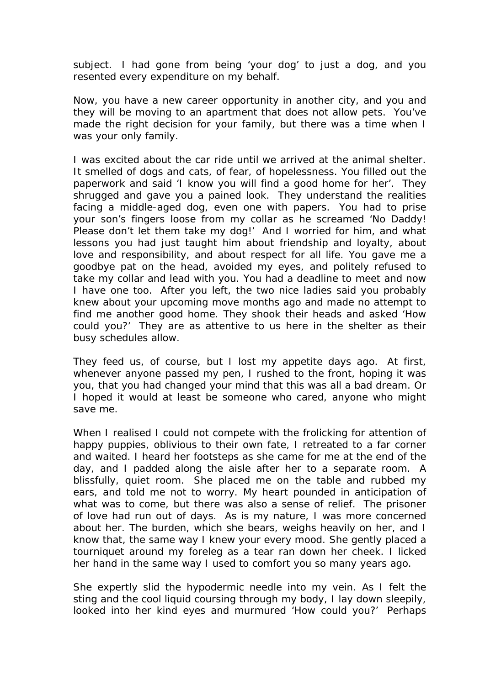subject. I had gone from being 'your dog' to just a dog, and you resented every expenditure on my behalf.

Now, you have a new career opportunity in another city, and you and they will be moving to an apartment that does not allow pets. You've made the right decision for your family, but there was a time when I was your only family.

I was excited about the car ride until we arrived at the animal shelter. It smelled of dogs and cats, of fear, of hopelessness. You filled out the paperwork and said 'I know you will find a good home for her'. They shrugged and gave you a pained look. They understand the realities facing a middle-aged dog, even one with papers. You had to prise your son's fingers loose from my collar as he screamed 'No Daddy! Please don't let them take my dog!' And I worried for him, and what lessons you had just taught him about friendship and loyalty, about love and responsibility, and about respect for all life. You gave me a goodbye pat on the head, avoided my eyes, and politely refused to take my collar and lead with you. You had a deadline to meet and now I have one too. After you left, the two nice ladies said you probably knew about your upcoming move months ago and made no attempt to find me another good home. They shook their heads and asked 'How could you?' They are as attentive to us here in the shelter as their busy schedules allow.

They feed us, of course, but I lost my appetite days ago. At first, whenever anyone passed my pen, I rushed to the front, hoping it was you, that you had changed your mind that this was all a bad dream. Or I hoped it would at least be someone who cared, anyone who might save me.

When I realised I could not compete with the frolicking for attention of happy puppies, oblivious to their own fate, I retreated to a far corner and waited. I heard her footsteps as she came for me at the end of the day, and I padded along the aisle after her to a separate room. A blissfully, quiet room. She placed me on the table and rubbed my ears, and told me not to worry. My heart pounded in anticipation of what was to come, but there was also a sense of relief. The prisoner of love had run out of days. As is my nature, I was more concerned about her. The burden, which she bears, weighs heavily on her, and I know that, the same way I knew your every mood. She gently placed a tourniquet around my foreleg as a tear ran down her cheek. I licked her hand in the same way I used to comfort you so many years ago.

She expertly slid the hypodermic needle into my vein. As I felt the sting and the cool liquid coursing through my body, I lay down sleepily, looked into her kind eyes and murmured 'How could you?' Perhaps